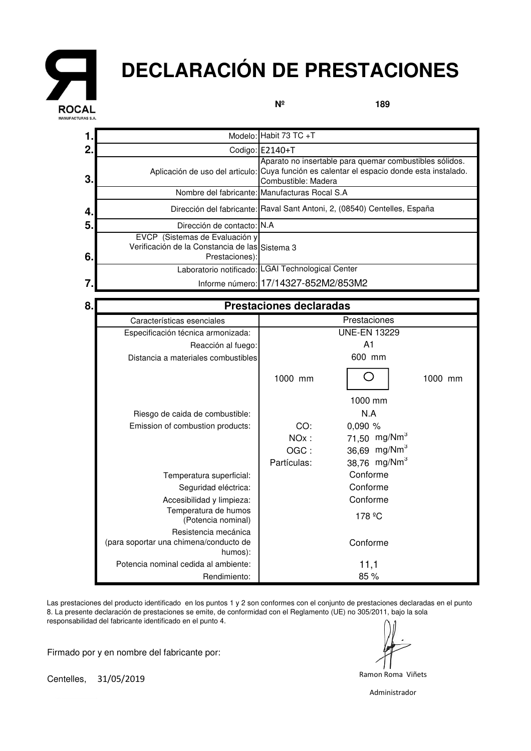

## **DECLARACIÓN DE PRESTACIONES**

**Nº**

**189**

|    |                                                                                                    | Modelo: Habit 73 TC +T                                                                                                                                                      |  |  |
|----|----------------------------------------------------------------------------------------------------|-----------------------------------------------------------------------------------------------------------------------------------------------------------------------------|--|--|
| 2. |                                                                                                    | Codigo: E2140+T                                                                                                                                                             |  |  |
| 3. |                                                                                                    | Aparato no insertable para quemar combustibles sólidos.<br>Aplicación de uso del articulo: Cuya función es calentar el espacio donde esta instalado.<br>Combustible: Madera |  |  |
|    |                                                                                                    | Nombre del fabricante: Manufacturas Rocal S.A                                                                                                                               |  |  |
| 4. |                                                                                                    | Dirección del fabricante: Raval Sant Antoni, 2, (08540) Centelles, España                                                                                                   |  |  |
| 5. | Dirección de contacto: N.A                                                                         |                                                                                                                                                                             |  |  |
| 6. | EVCP (Sistemas de Evaluación y<br>Verificación de la Constancia de las Sistema 3<br>Prestaciones): |                                                                                                                                                                             |  |  |
|    |                                                                                                    | Laboratorio notificado: LGAI Technological Center                                                                                                                           |  |  |
|    |                                                                                                    | Informe número: 17/14327-852M2/853M2                                                                                                                                        |  |  |

| 8. | <b>Prestaciones declaradas</b>                                            |                     |                          |         |  |  |
|----|---------------------------------------------------------------------------|---------------------|--------------------------|---------|--|--|
|    | Características esenciales                                                |                     | Prestaciones             |         |  |  |
|    | Especificación técnica armonizada:                                        | <b>UNE-EN 13229</b> |                          |         |  |  |
|    | Reacción al fuego:                                                        | A1                  |                          |         |  |  |
|    | Distancia a materiales combustibles                                       | 600 mm              |                          |         |  |  |
|    |                                                                           | 1000 mm             |                          | 1000 mm |  |  |
|    |                                                                           |                     | 1000 mm                  |         |  |  |
|    | Riesgo de caida de combustible:                                           |                     | N.A                      |         |  |  |
|    | Emission of combustion products:                                          | CO:                 | 0,090%                   |         |  |  |
|    |                                                                           | $NOx$ :             | 71,50 mg/Nm <sup>3</sup> |         |  |  |
|    |                                                                           | OGC:                | 36,69 mg/Nm <sup>3</sup> |         |  |  |
|    |                                                                           | Partículas:         | 38,76 mg/Nm <sup>3</sup> |         |  |  |
|    | Temperatura superficial:                                                  |                     | Conforme                 |         |  |  |
|    | Seguridad eléctrica:                                                      |                     | Conforme                 |         |  |  |
|    | Accesibilidad y limpieza:                                                 |                     | Conforme                 |         |  |  |
|    | Temperatura de humos<br>(Potencia nominal)                                |                     | 178 <sup>o</sup> C       |         |  |  |
|    | Resistencia mecánica<br>(para soportar una chimena/conducto de<br>humos): |                     | Conforme                 |         |  |  |
|    | Potencia nominal cedida al ambiente:                                      |                     | 11,1                     |         |  |  |
|    | Rendimiento:                                                              |                     | 85 %                     |         |  |  |

Las prestaciones del producto identificado en los puntos 1 y 2 son conformes con el conjunto de prestaciones declaradas en el punto 8. La presente declaración de prestaciones se emite, de conformidad con el Reglamento (UE) no 305/2011, bajo la sola responsabilidad del fabricante identificado en el punto 4.

Firmado por y en nombre del fabricante por:

Centelles, 31/05/2019

Administrador

Ramon Roma Viñets